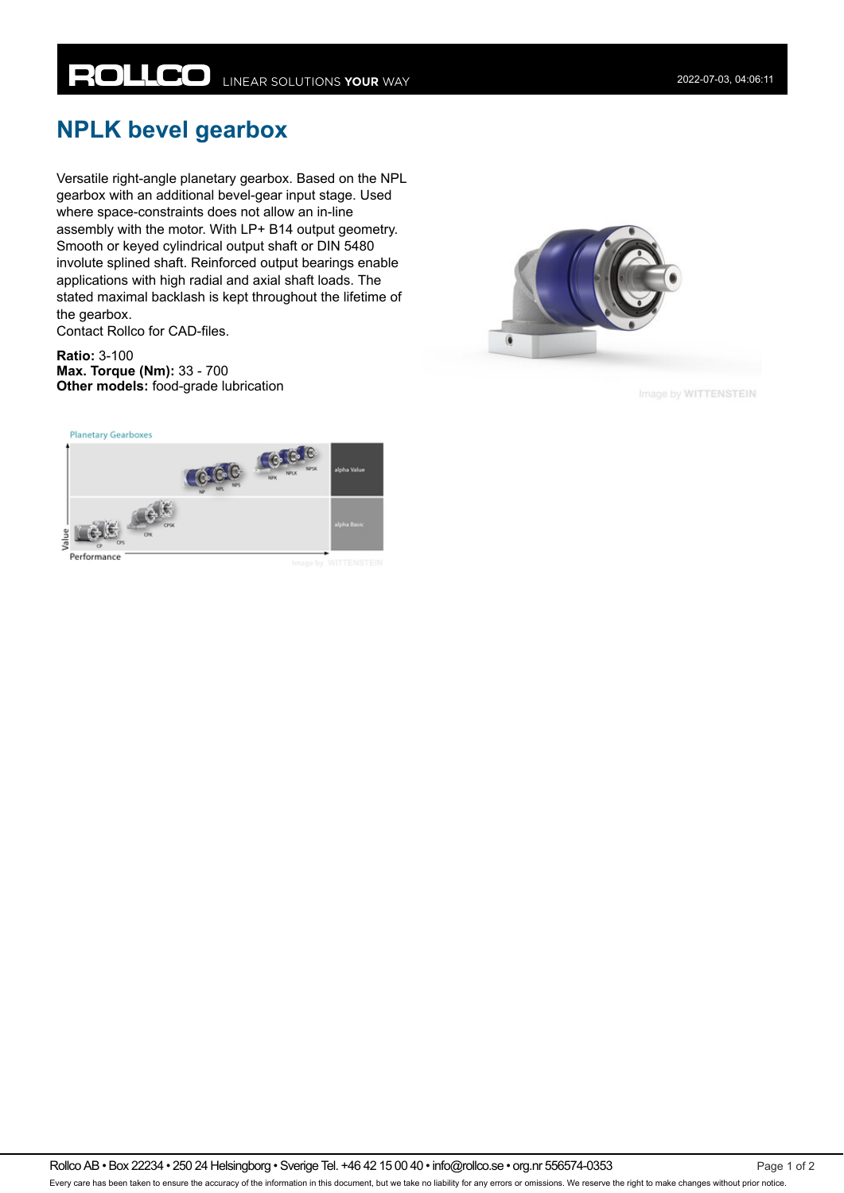## **NPLK bevel gearbox**

Versatile right-angle planetary gearbox. Based on the NPL gearbox with an additional bevel-gear input stage. Used where space-constraints does not allow an in-line assembly with the motor. With LP+ B14 output geometry. Smooth or keyed cylindrical output shaft or DIN 5480 involute splined shaft. Reinforced output bearings enable applications with high radial and axial shaft loads. The stated maximal backlash is kept throughout the lifetime of the gearbox.

Contact Rollco for CAD-files.

**Ratio:** 3-100 **Max. Torque (Nm):** 33 - 700 **Other models:** food-grade lubrication



Image by WITTENSTEIN





Rollco AB • Box 22234 • 250 24 Helsingborg • Sverige Tel. +46 42 15 00 40 • info@rollco.se • org.nr 556574-0353 Page 1 of 2 Every care has been taken to ensure the accuracy of the information in this document, but we take no liability for any errors or omissions. We reserve the right to make changes without prior notice